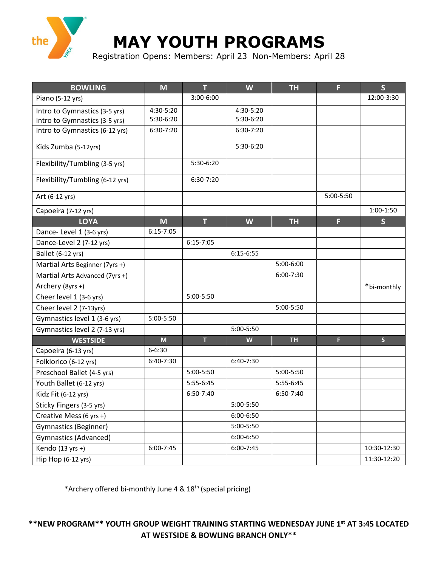

## **MAY YOUTH PROGRAMS**

Registration Opens: Members: April 23 Non-Members: April 28

| <b>BOWLING</b>                  | M             | T             | W         | <b>TH</b> | F         | $\mathsf{S}$ |
|---------------------------------|---------------|---------------|-----------|-----------|-----------|--------------|
| Piano (5-12 yrs)                |               | 3:00-6:00     |           |           |           | 12:00-3:30   |
| Intro to Gymnastics (3-5 yrs)   | 4:30-5:20     |               | 4:30-5:20 |           |           |              |
| Intro to Gymnastics (3-5 yrs)   | 5:30-6:20     |               | 5:30-6:20 |           |           |              |
| Intro to Gymnastics (6-12 yrs)  | $6:30-7:20$   |               | 6:30-7:20 |           |           |              |
| Kids Zumba (5-12yrs)            |               |               | 5:30-6:20 |           |           |              |
| Flexibility/Tumbling (3-5 yrs)  |               | 5:30-6:20     |           |           |           |              |
| Flexibility/Tumbling (6-12 yrs) |               | 6:30-7:20     |           |           |           |              |
| Art (6-12 yrs)                  |               |               |           |           | 5:00-5:50 |              |
| Capoeira (7-12 yrs)             |               |               |           |           |           | $1:00-1:50$  |
| <b>LOYA</b>                     | M             | T             | W         | <b>TH</b> | F         | $\mathsf{S}$ |
| Dance-Level 1 (3-6 yrs)         | $6:15 - 7:05$ |               |           |           |           |              |
| Dance-Level 2 (7-12 yrs)        |               | $6:15 - 7:05$ |           |           |           |              |
| Ballet (6-12 yrs)               |               |               | 6:15-6:55 |           |           |              |
| Martial Arts Beginner (7yrs +)  |               |               |           | 5:00-6:00 |           |              |
| Martial Arts Advanced (7yrs +)  |               |               |           | 6:00-7:30 |           |              |
| Archery (8yrs +)                |               |               |           |           |           | *bi-monthly  |
| Cheer level 1 (3-6 yrs)         |               | 5:00-5:50     |           |           |           |              |
| Cheer level 2 (7-13yrs)         |               |               |           | 5:00-5:50 |           |              |
| Gymnastics level 1 (3-6 yrs)    | 5:00-5:50     |               |           |           |           |              |
| Gymnastics level 2 (7-13 yrs)   |               |               | 5:00-5:50 |           |           |              |
| <b>WESTSIDE</b>                 | $M$           | $\mathsf{T}$  | W         | <b>TH</b> | F         | $\mathsf{S}$ |
| Capoeira (6-13 yrs)             | $6 - 6:30$    |               |           |           |           |              |
| Folklorico (6-12 yrs)           | 6:40-7:30     |               | 6:40-7:30 |           |           |              |
| Preschool Ballet (4-5 yrs)      |               | 5:00-5:50     |           | 5:00-5:50 |           |              |
| Youth Ballet (6-12 yrs)         |               | 5:55-6:45     |           | 5:55-6:45 |           |              |
| Kidz Fit (6-12 yrs)             |               | 6:50-7:40     |           | 6:50-7:40 |           |              |
| Sticky Fingers (3-5 yrs)        |               |               | 5:00-5:50 |           |           |              |
| Creative Mess (6 yrs +)         |               |               | 6:00-6:50 |           |           |              |
| Gymnastics (Beginner)           |               |               | 5:00-5:50 |           |           |              |
| Gymnastics (Advanced)           |               |               | 6:00-6:50 |           |           |              |
| Kendo $(13 yrs + )$             | $6:00 - 7:45$ |               | 6:00-7:45 |           |           | 10:30-12:30  |
| Hip Hop (6-12 yrs)              |               |               |           |           |           | 11:30-12:20  |

\*Archery offered bi-monthly June 4 & 18th (special pricing)

**\*\*NEW PROGRAM\*\* YOUTH GROUP WEIGHT TRAINING STARTING WEDNESDAY JUNE 1st AT 3:45 LOCATED AT WESTSIDE & BOWLING BRANCH ONLY\*\***